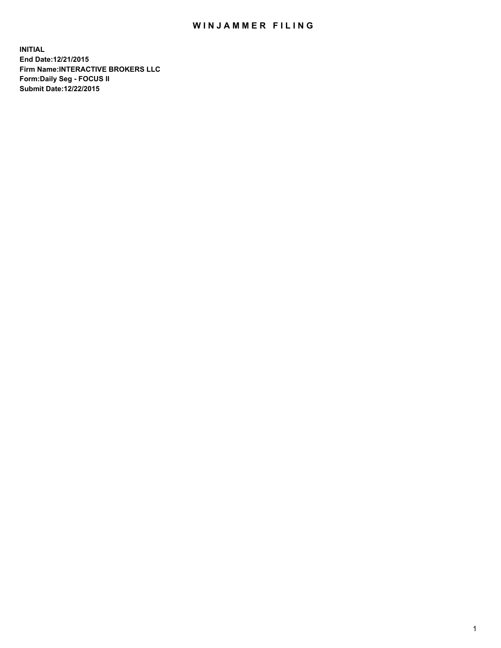## WIN JAMMER FILING

**INITIAL End Date:12/21/2015 Firm Name:INTERACTIVE BROKERS LLC Form:Daily Seg - FOCUS II Submit Date:12/22/2015**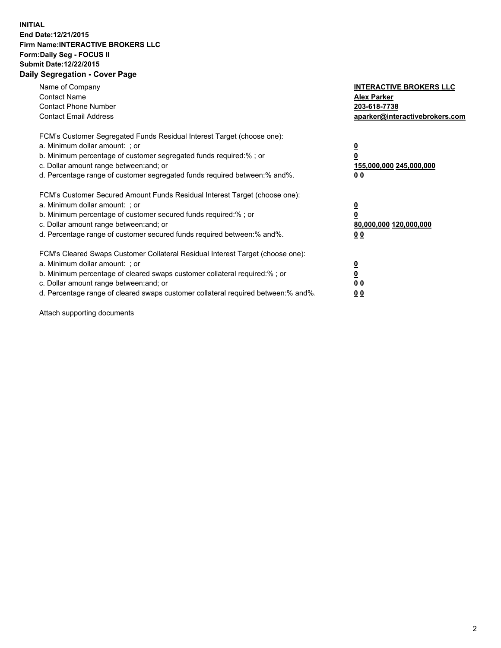## **INITIAL End Date:12/21/2015 Firm Name:INTERACTIVE BROKERS LLC Form:Daily Seg - FOCUS II Submit Date:12/22/2015 Daily Segregation - Cover Page**

| Name of Company<br><b>Contact Name</b><br><b>Contact Phone Number</b><br><b>Contact Email Address</b>                                                                                                                                                                                                                          | <b>INTERACTIVE BROKERS LLC</b><br><b>Alex Parker</b><br>203-618-7738<br>aparker@interactivebrokers.com |
|--------------------------------------------------------------------------------------------------------------------------------------------------------------------------------------------------------------------------------------------------------------------------------------------------------------------------------|--------------------------------------------------------------------------------------------------------|
| FCM's Customer Segregated Funds Residual Interest Target (choose one):<br>a. Minimum dollar amount: ; or<br>b. Minimum percentage of customer segregated funds required:% ; or<br>c. Dollar amount range between: and; or<br>d. Percentage range of customer segregated funds required between:% and%.                         | <u>0</u><br><u>155,000,000 245,000,000</u><br>00                                                       |
| FCM's Customer Secured Amount Funds Residual Interest Target (choose one):<br>a. Minimum dollar amount: ; or<br>b. Minimum percentage of customer secured funds required:%; or<br>c. Dollar amount range between: and; or<br>d. Percentage range of customer secured funds required between: % and %.                          | <u>0</u><br>80,000,000 120,000,000<br>0 <sub>0</sub>                                                   |
| FCM's Cleared Swaps Customer Collateral Residual Interest Target (choose one):<br>a. Minimum dollar amount: ; or<br>b. Minimum percentage of cleared swaps customer collateral required:% ; or<br>c. Dollar amount range between: and; or<br>d. Percentage range of cleared swaps customer collateral required between:% and%. | <u>0</u><br>0 <sub>0</sub><br><u>0 0</u>                                                               |

Attach supporting documents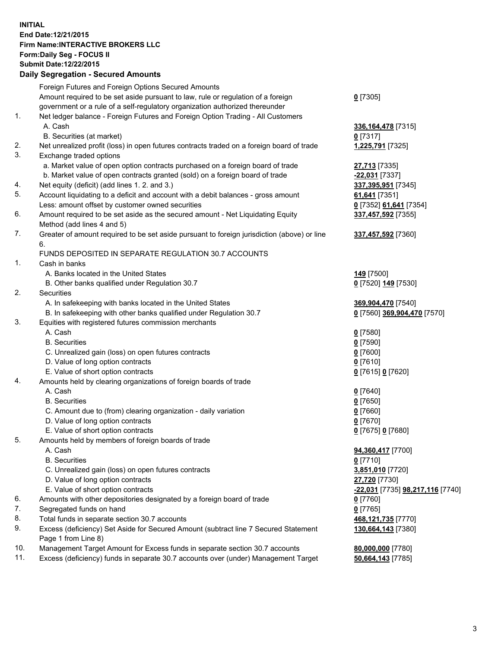## **INITIAL End Date:12/21/2015 Firm Name:INTERACTIVE BROKERS LLC Form:Daily Seg - FOCUS II Submit Date:12/22/2015 Daily Segregation - Secured Amounts**

|     | Dany Ocgregation - Oceanea Amounts                                                                         |                                  |
|-----|------------------------------------------------------------------------------------------------------------|----------------------------------|
|     | Foreign Futures and Foreign Options Secured Amounts                                                        |                                  |
|     | Amount required to be set aside pursuant to law, rule or regulation of a foreign                           | $0$ [7305]                       |
|     | government or a rule of a self-regulatory organization authorized thereunder                               |                                  |
| 1.  | Net ledger balance - Foreign Futures and Foreign Option Trading - All Customers                            |                                  |
|     | A. Cash                                                                                                    | 336, 164, 478 [7315]             |
|     | B. Securities (at market)                                                                                  | 0 [7317]                         |
| 2.  | Net unrealized profit (loss) in open futures contracts traded on a foreign board of trade                  | 1,225,791 [7325]                 |
| 3.  | Exchange traded options                                                                                    |                                  |
|     | a. Market value of open option contracts purchased on a foreign board of trade                             | 27,713 [7335]                    |
|     | b. Market value of open contracts granted (sold) on a foreign board of trade                               | -22,031 [7337]                   |
| 4.  | Net equity (deficit) (add lines 1.2. and 3.)                                                               | 337,395,951 [7345]               |
| 5.  | Account liquidating to a deficit and account with a debit balances - gross amount                          | 61,641 [7351]                    |
|     | Less: amount offset by customer owned securities                                                           | 0 [7352] 61,641 [7354]           |
| 6.  | Amount required to be set aside as the secured amount - Net Liquidating Equity                             | 337,457,592 [7355]               |
|     | Method (add lines 4 and 5)                                                                                 |                                  |
| 7.  | Greater of amount required to be set aside pursuant to foreign jurisdiction (above) or line                | 337,457,592 [7360]               |
|     | 6.                                                                                                         |                                  |
|     | FUNDS DEPOSITED IN SEPARATE REGULATION 30.7 ACCOUNTS                                                       |                                  |
| 1.  | Cash in banks                                                                                              |                                  |
|     | A. Banks located in the United States                                                                      | 149 <sub>[7500]</sub>            |
|     | B. Other banks qualified under Regulation 30.7                                                             | 0 [7520] 149 [7530]              |
| 2.  | Securities                                                                                                 |                                  |
|     | A. In safekeeping with banks located in the United States                                                  | 369,904,470 [7540]               |
|     | B. In safekeeping with other banks qualified under Regulation 30.7                                         | 0 [7560] 369,904,470 [7570]      |
| 3.  | Equities with registered futures commission merchants                                                      |                                  |
|     | A. Cash                                                                                                    | $0$ [7580]                       |
|     | <b>B.</b> Securities                                                                                       | $0$ [7590]                       |
|     | C. Unrealized gain (loss) on open futures contracts                                                        | $0$ [7600]                       |
|     | D. Value of long option contracts                                                                          | $0$ [7610]                       |
|     | E. Value of short option contracts                                                                         | 0 [7615] 0 [7620]                |
| 4.  | Amounts held by clearing organizations of foreign boards of trade                                          |                                  |
|     | A. Cash                                                                                                    | $0$ [7640]                       |
|     | <b>B.</b> Securities                                                                                       | $0$ [7650]                       |
|     | C. Amount due to (from) clearing organization - daily variation                                            | $0$ [7660]                       |
|     | D. Value of long option contracts                                                                          | $0$ [7670]                       |
|     | E. Value of short option contracts                                                                         | 0 [7675] 0 [7680]                |
| 5.  | Amounts held by members of foreign boards of trade                                                         |                                  |
|     | A. Cash                                                                                                    | 94,360,417 [7700]                |
|     | <b>B.</b> Securities                                                                                       | $0$ [7710]                       |
|     | C. Unrealized gain (loss) on open futures contracts                                                        | 3,851,010 [7720]                 |
|     | D. Value of long option contracts                                                                          | 27,720 [7730]                    |
|     | E. Value of short option contracts                                                                         | -22,031 [7735] 98,217,116 [7740] |
| 6.  | Amounts with other depositories designated by a foreign board of trade                                     | 0 [7760]                         |
| 7.  | Segregated funds on hand                                                                                   | $0$ [7765]                       |
| 8.  | Total funds in separate section 30.7 accounts                                                              | 468,121,735 [7770]               |
| 9.  | Excess (deficiency) Set Aside for Secured Amount (subtract line 7 Secured Statement<br>Page 1 from Line 8) | 130,664,143 [7380]               |
| 10. | Management Target Amount for Excess funds in separate section 30.7 accounts                                | 80,000,000 [7780]                |
| 11. | Excess (deficiency) funds in separate 30.7 accounts over (under) Management Target                         | 50,664,143 [7785]                |
|     |                                                                                                            |                                  |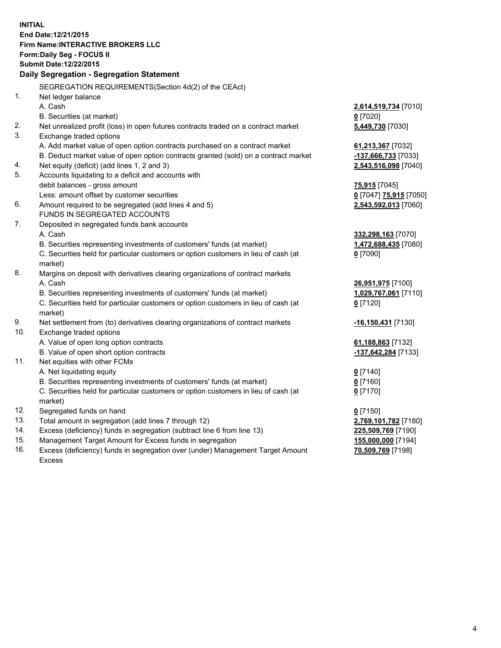**INITIAL End Date:12/21/2015 Firm Name:INTERACTIVE BROKERS LLC Form:Daily Seg - FOCUS II Submit Date:12/22/2015 Daily Segregation - Segregation Statement** SEGREGATION REQUIREMENTS(Section 4d(2) of the CEAct) 1. Net ledger balance A. Cash **2,614,519,734** [7010] B. Securities (at market) **0** [7020] 2. Net unrealized profit (loss) in open futures contracts traded on a contract market **5,449,730** [7030] 3. Exchange traded options A. Add market value of open option contracts purchased on a contract market **61,213,367** [7032] B. Deduct market value of open option contracts granted (sold) on a contract market **-137,666,733** [7033] 4. Net equity (deficit) (add lines 1, 2 and 3) **2,543,516,098** [7040] 5. Accounts liquidating to a deficit and accounts with debit balances - gross amount **75,915** [7045] Less: amount offset by customer securities **0** [7047] **75,915** [7050] 6. Amount required to be segregated (add lines 4 and 5) **2,543,592,013** [7060] FUNDS IN SEGREGATED ACCOUNTS 7. Deposited in segregated funds bank accounts A. Cash **332,298,163** [7070] B. Securities representing investments of customers' funds (at market) **1,472,688,435** [7080] C. Securities held for particular customers or option customers in lieu of cash (at market) **0** [7090] 8. Margins on deposit with derivatives clearing organizations of contract markets A. Cash **26,951,975** [7100] B. Securities representing investments of customers' funds (at market) **1,029,767,061** [7110] C. Securities held for particular customers or option customers in lieu of cash (at market) **0** [7120] 9. Net settlement from (to) derivatives clearing organizations of contract markets **-16,150,431** [7130] 10. Exchange traded options A. Value of open long option contracts **61,188,863** [7132] B. Value of open short option contracts **-137,642,284** [7133] 11. Net equities with other FCMs A. Net liquidating equity **0** [7140] B. Securities representing investments of customers' funds (at market) **0** [7160] C. Securities held for particular customers or option customers in lieu of cash (at market) **0** [7170] 12. Segregated funds on hand **0** [7150] 13. Total amount in segregation (add lines 7 through 12) **2,769,101,782** [7180] 14. Excess (deficiency) funds in segregation (subtract line 6 from line 13) **225,509,769** [7190] 15. Management Target Amount for Excess funds in segregation **155,000,000** [7194] **70,509,769** [7198]

16. Excess (deficiency) funds in segregation over (under) Management Target Amount Excess